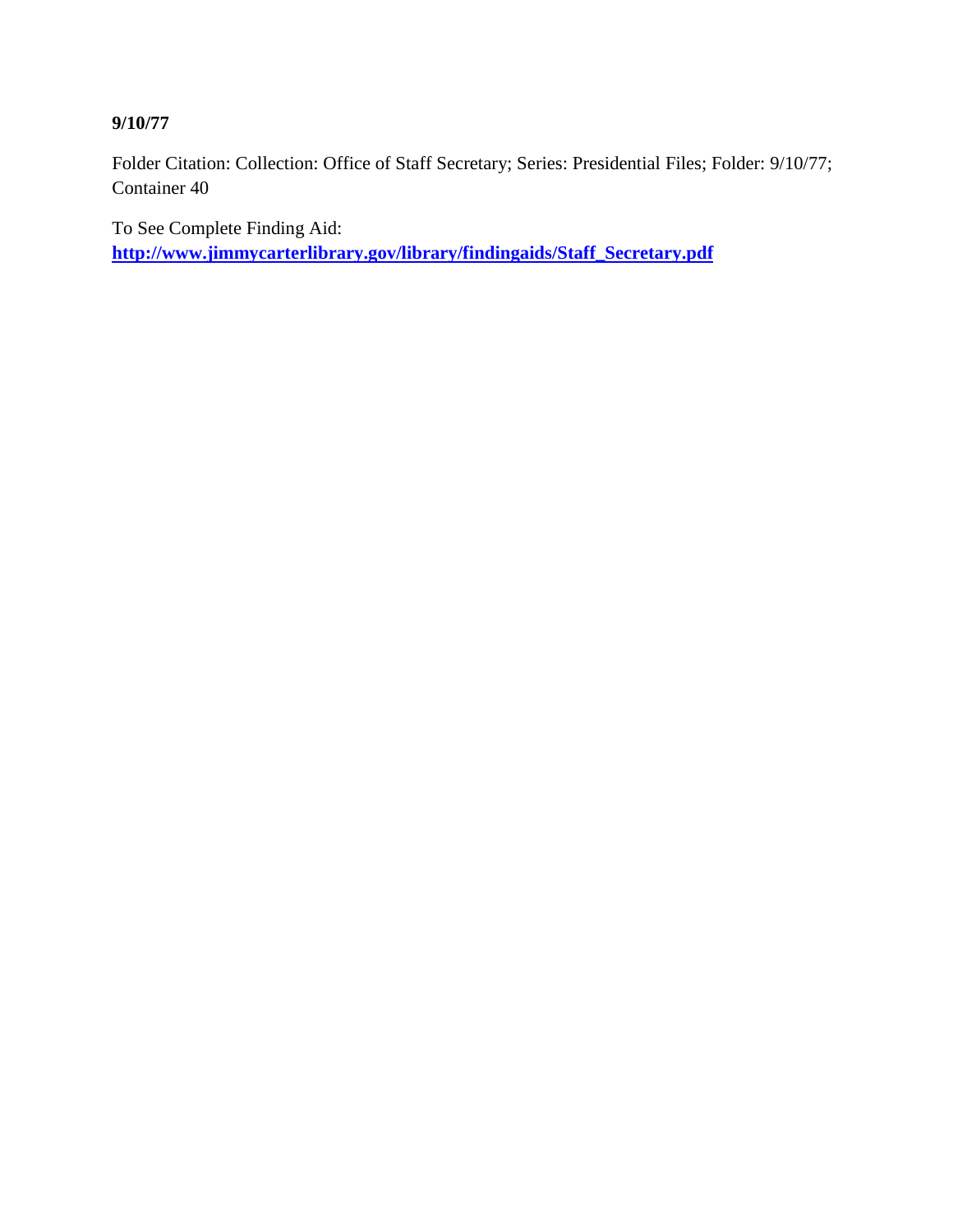# **9/10/77**

Folder Citation: Collection: Office of Staff Secretary; Series: Presidential Files; Folder: 9/10/77; Container 40

To See Complete Finding Aid: **[http://www.jimmycarterlibrary.gov/library/findingaids/Staff\\_Secretary.pdf](http://www.jimmycarterlibrary.gov/library/findingaids/Staff_Secretary.pdf)**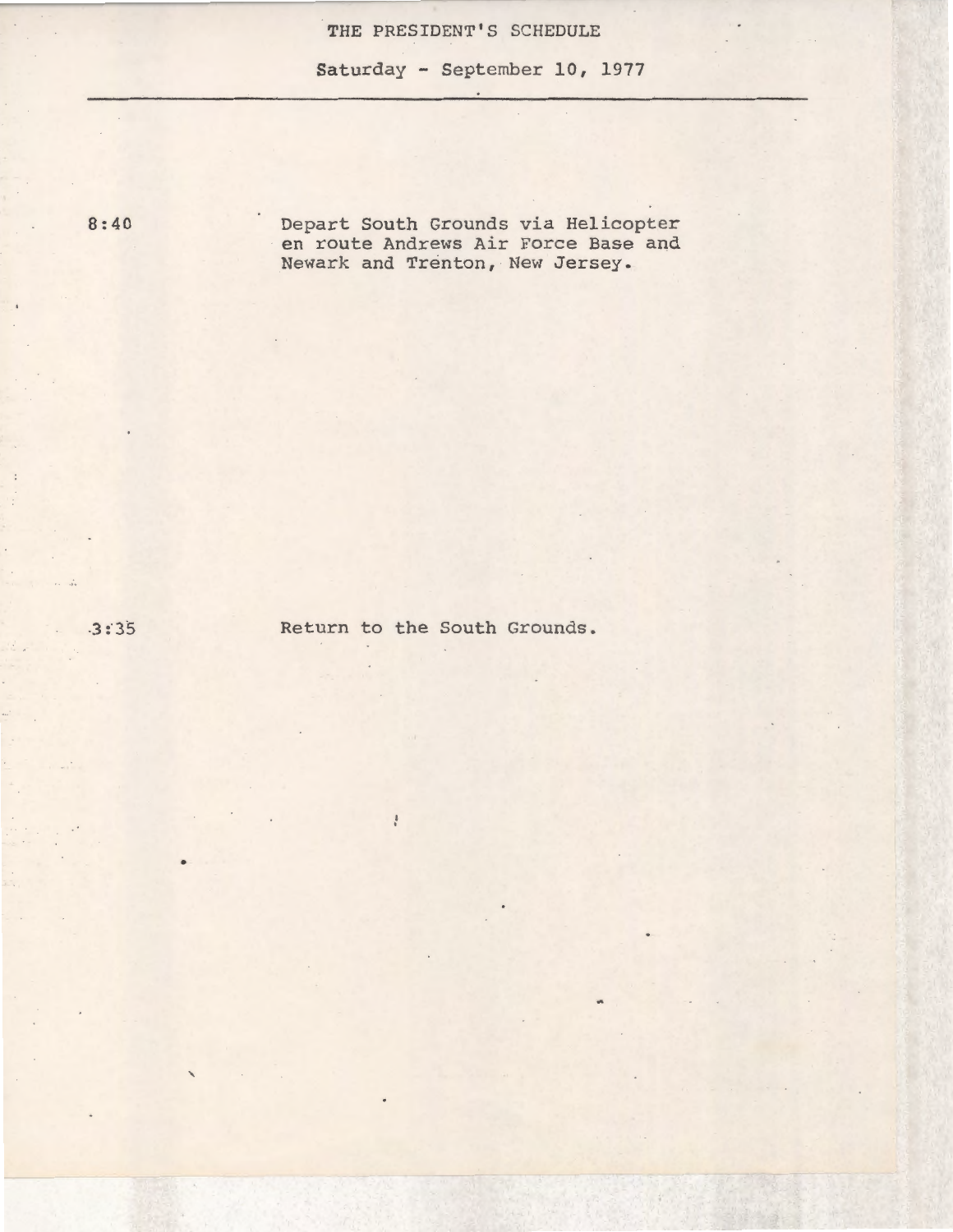### **THE** PRESIDENT'S SCHEDULE

Saturday - September 10, 1977

8:40

Depart South Grounds via Helicopter en route Andrews Air Force Base and Newark and Trenton, New Jersey.

 $-3:35$ 

•

'

Return to the South Grounds.

 $\frac{1}{4}$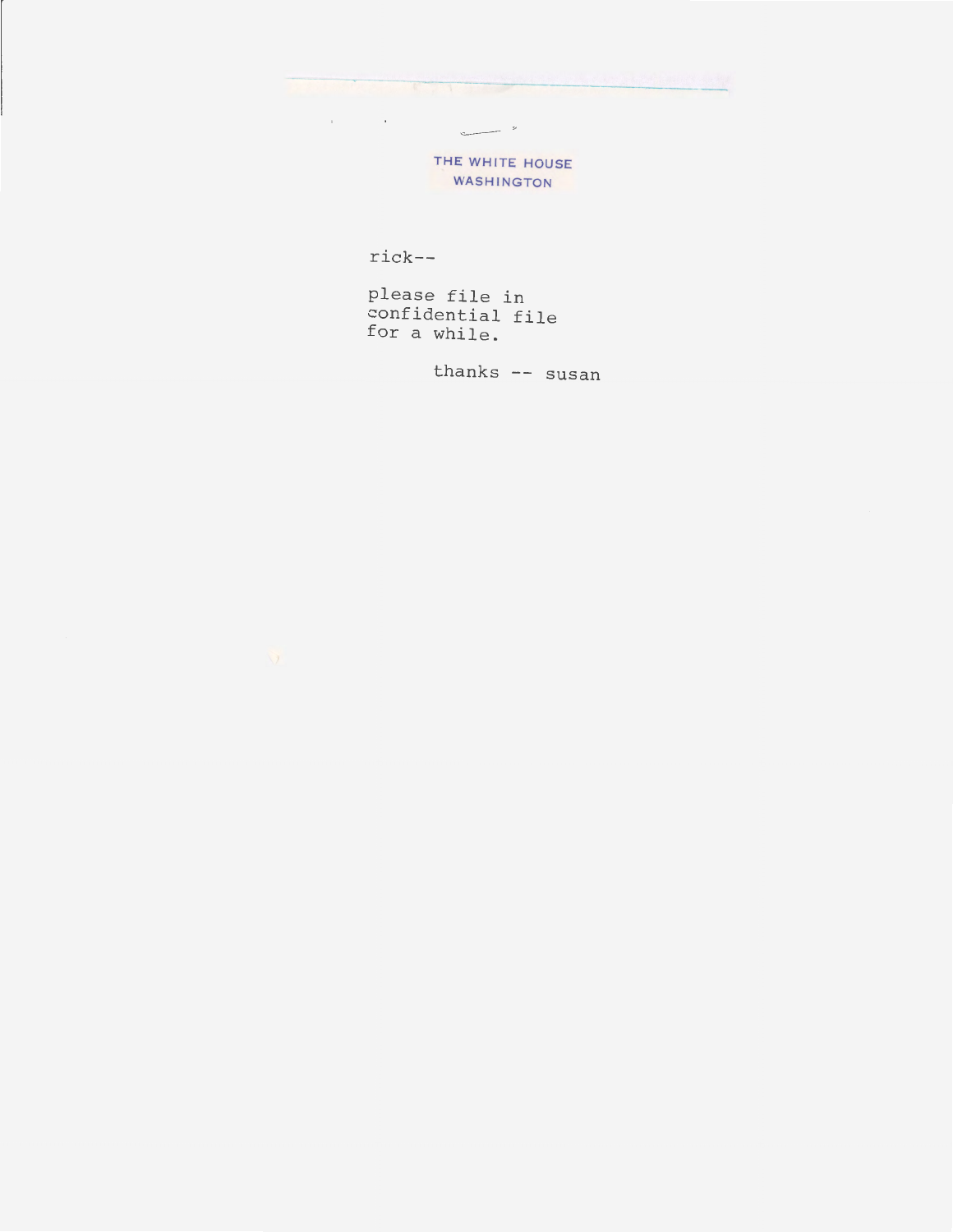THE WHITE HOUSE WASHINGTON

 $\sim$ 

rick--

 $\alpha$  is a set of  $\alpha$  .

please file in confidential file for a while.

thanks -- susan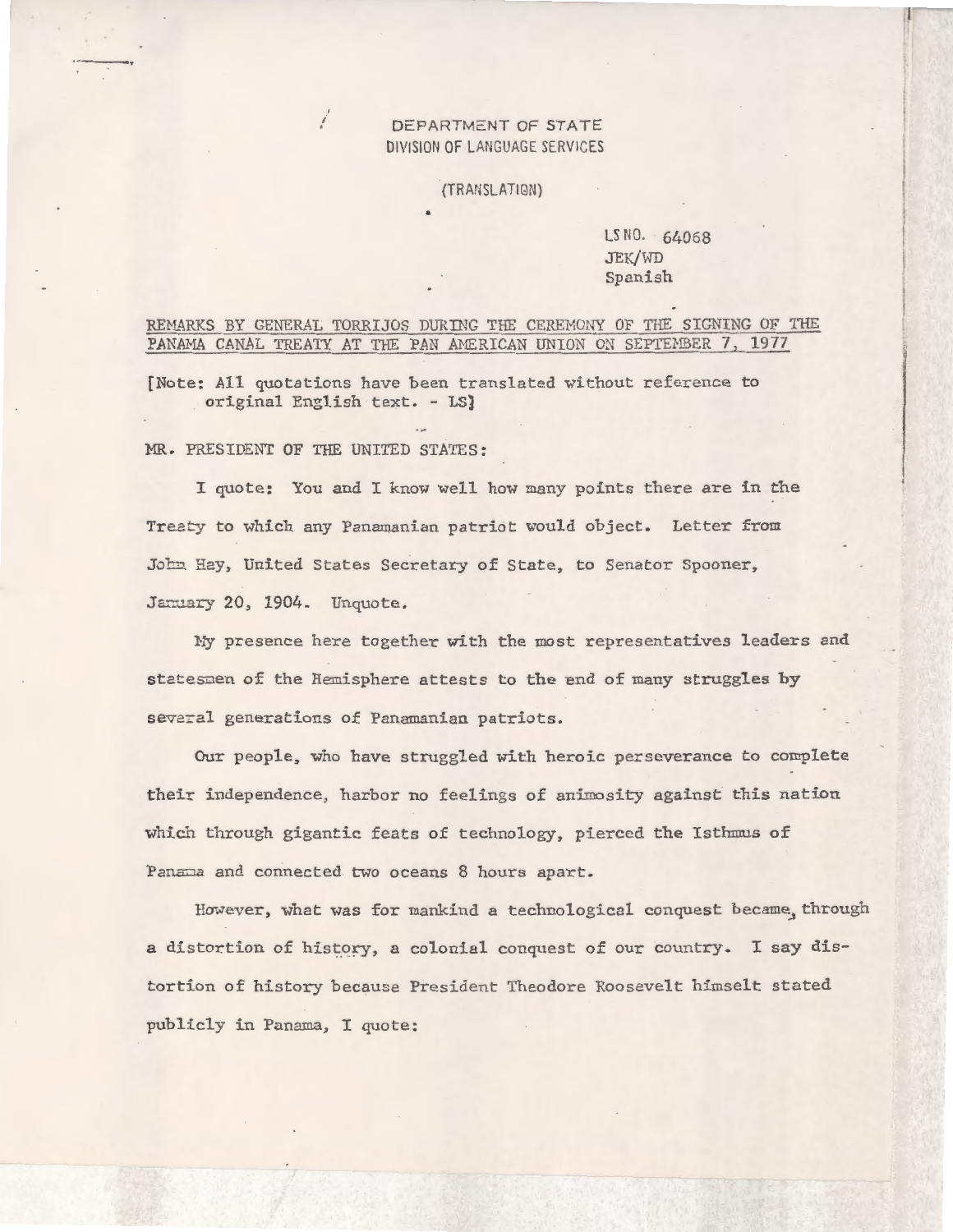#### DEPARTMENT OF STATE DIVISION OF LANGUAGE SERVICES

(TRANSLATIQN)

#### LS NO. 64068 JEK/WD Spanish

J i

#### REMARKS BY GENERAL TORRIJOS DURING THE CEREMONY OF THE SIGNING OF THE PANAMA CANAL TREATY AT THE PAN AMERICAN UNION ON SEPTEMBER 7, 1977

[Note: All quotations have been translated without reference to original English text. - LS)

MR. PRESIDENT OF THE UNITED STATES:

Í

I quote: You and I know well how many points there are in the Treaty to which any Panamanian patriot would object. Letter from John Hay, United States Secretary of State, to Senator Spooner, January 20, 1904. Unquote.

Hy presence here together with the most representatives leaders and stetesmen of the Hemisphere attests to the end of many struggles by several generations of Panamanian patriots.

Our people, who have struggled with heroic perseverance to complete their independence, harbor no feelings of animosity against this nation which through gigantic feats of technology, pierced the Isthmus of Panama and connected two oceans 8 hours apart.

However, what was for mankind a technological conquest became, through a distortion of history, a colonial conquest of our country. I say distortion of history because President Theodore Roosevelt himselt stated publicly in Panama, I quote: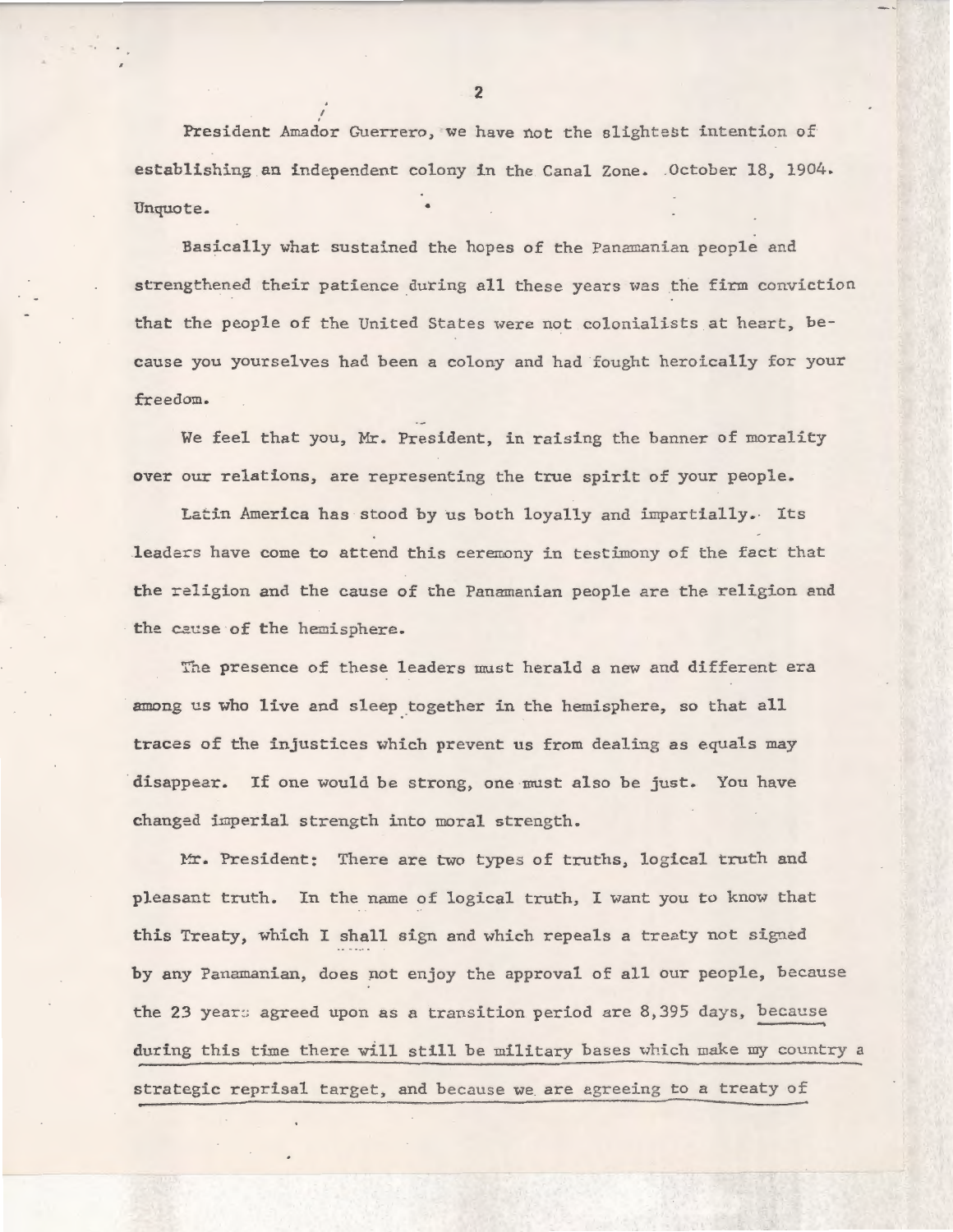President Amador Guerrero, we have not the slightest intention of establishing an independent colony in the Canal Zone. . October 18, 1904. Unquote.

Basically what sustained the hopes of the Panamanian people and strengthened their patience during all these years was the firm conviction that the people of the United States were not colonialists at heart, because you yourselves had been a colony and had fought heroically for your freedom.

We feel that you, Mr. President, in raising the banner of morality over our relations, are representing the true spirit of your people.

Latin America has stood by us both loyally and impartially.. Its leaders have come to attend this ceremony in testimony of the fact that the religion and the cause of the Panamanian people are the religion and the cause of the hemisphere.

The presence of these leaders must herald a new and different era among us who live and sleep together in the hemisphere, so that all traces of the injustices which prevent us from dealing as equals may disappear. If one would be strong, one must also be just. You have changed imperial strength into moral strength.

Mr. President: There are two types of truths, logical truth and pleasant truth. In the name of logical truth, I want you to know that this Treaty, which I shall sign and which repeals a treaty not signed by any Panamanian, does pot enjoy the approval of all our people, because the 23 years agreed upon as a transition period are 8,395 days, because during this time there will still be military bases which make my country a strategic reprisal target, and because we are agreeing to a treaty of

2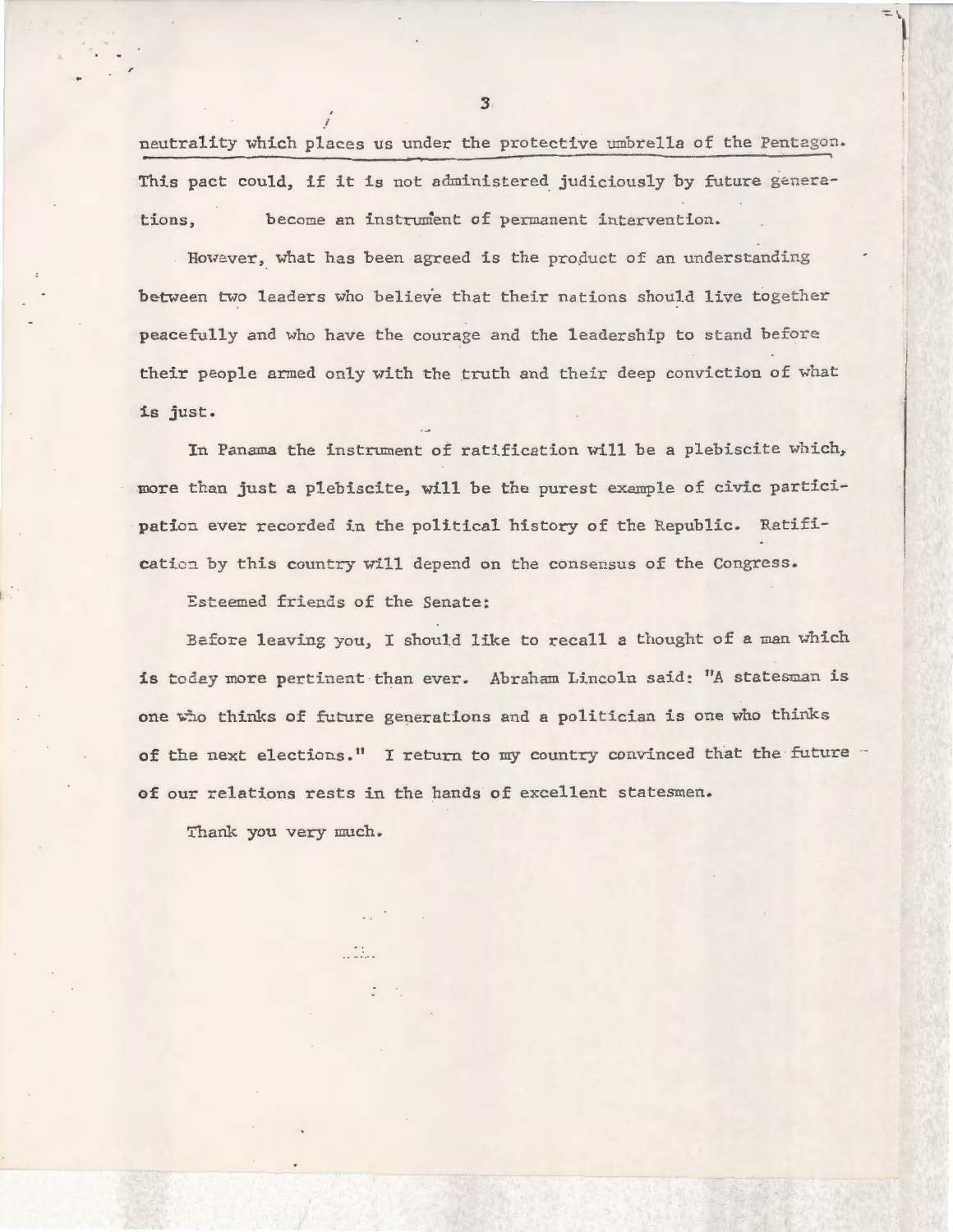neutrality which places us under the protective umbrella of the Pentegon. This pact could, if it is not administered judiciously by future generations, become an instrument of permanent intervention.

However, what has been agreed is the product of an understanding between two leaders who believe that their nations should live together peacefully and who have the courage and the leadership to stand before their people armed only with the truth and their deep conviction of what is just.

In Panama the instrument of ratification will be a plebiscite which, more than just a plebiscite, will be the purest example of civic participation ever recorded in the political history of the Republic. Ratification by this country will depend on the consensus of the Congress.

Esteemed friends of the Senate:

. . . . .

3efore leaving you, I should like to recall a thought of a man which is today more pertinent than ever. Abraham Lincoln said: "A statesman is one who thinks of future generations and a politician is one who thinks of the next elections." I return to my country convinced that the future of our relations rests in the hands of excellent statesmen.

Thank you very much.

*3*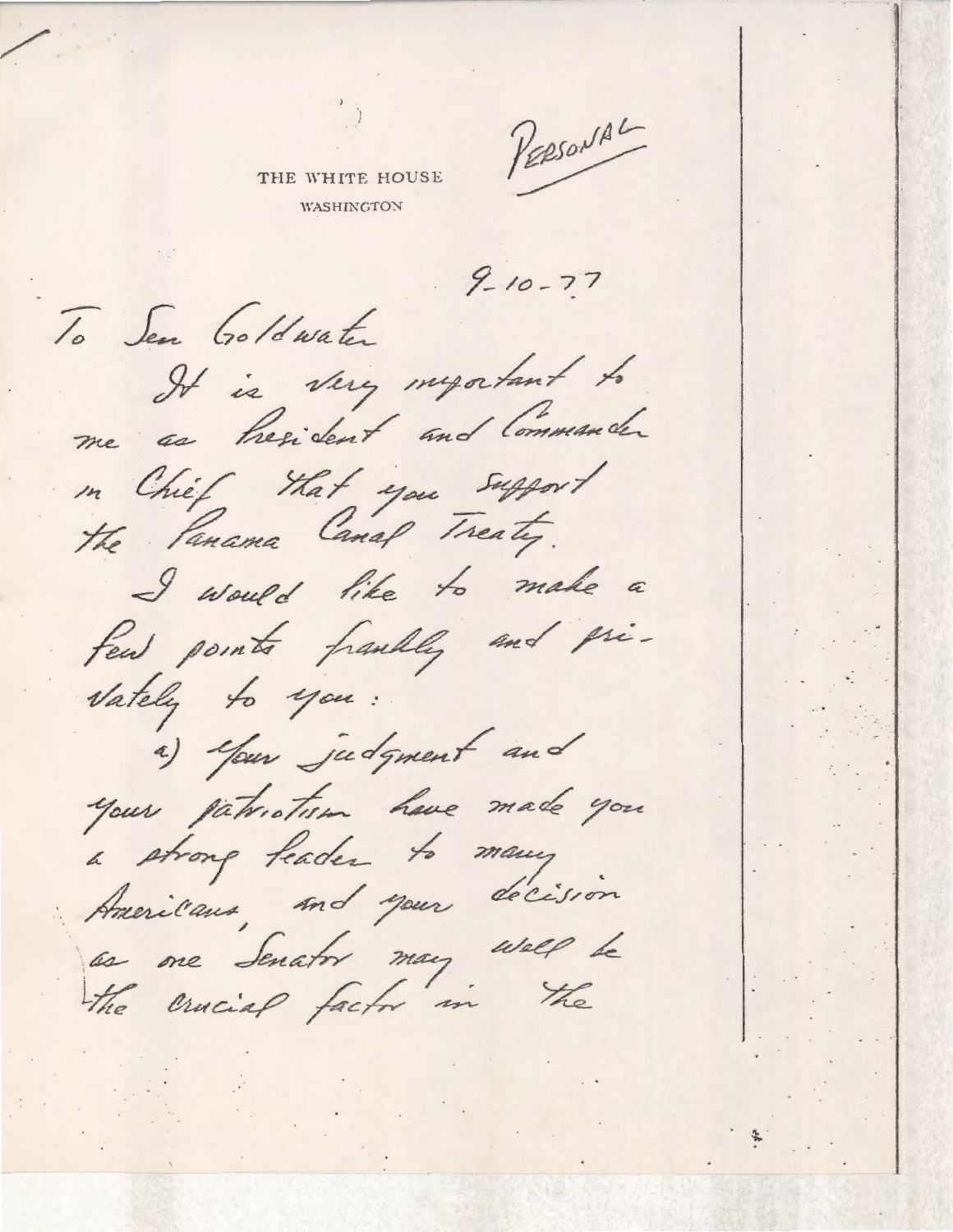PERSONAL

THE WHITE HOUSE **WASHINGTON** 

 $9 - 10 - 77$ 

To Sen Goldwater It is very myatant to me as thesident and Commander in Chief that you support the Panama Canal Treaty. I would like to make a few points fraully and pri-Vately to you : a) Your judgment and your patriotion have made you a strong feader to many Americans, and your decision as one Senator may well be the crucial factor in the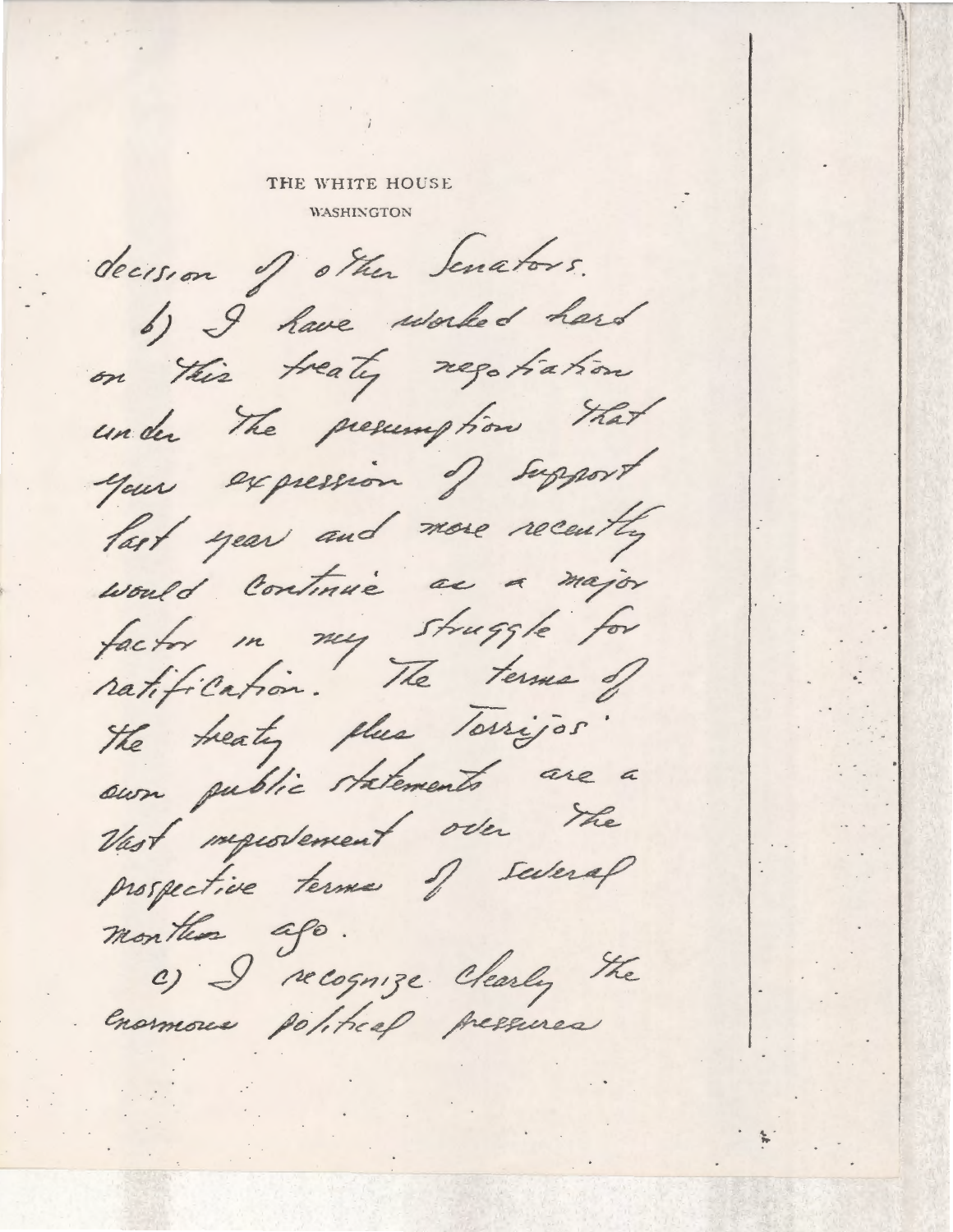#### THE WHITE HOUSE

**WASHINGTON** 

decision of other Senators. b) I have worked hard on this treaty registration under The presumption that your expression of support last year and more recently would continue as a major factor in my struggle for the treaty thus Torrijos. sun public statements are a Vast importancent over the prospective terms of several montes ago. C) I recognize Clearly the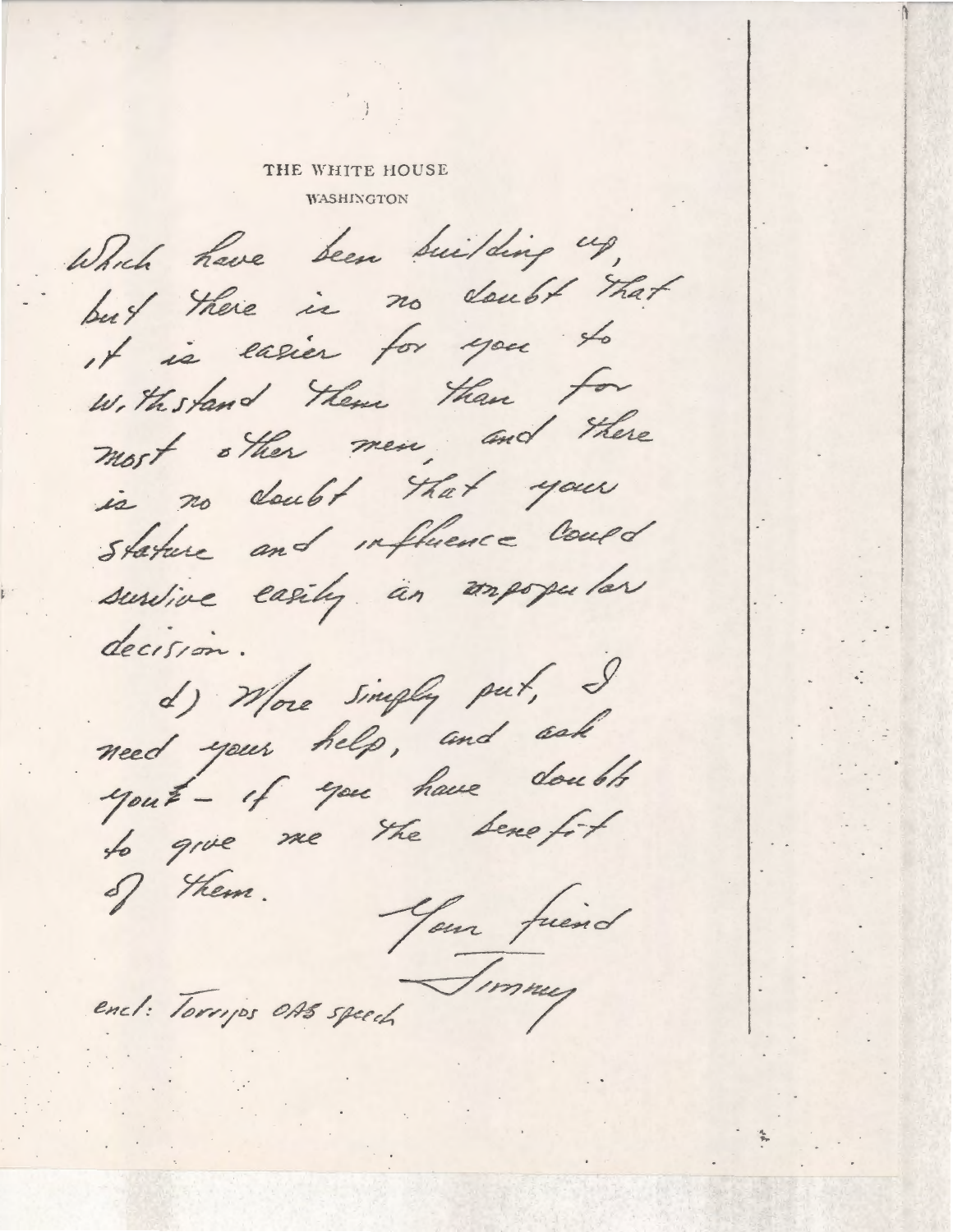### THE WHITE HOUSE **WASHINGTON**

Which have been building up, but there is no doubt that it is easier for you to Withstand Them than for most other men, and there is no cloubt that your Stature and influence could survive easily an unpopular decision. d) More simply put, I<br>need your help, and ask yout- of you have doubts to give me the Sene fit of them. Your friend encl: Torrips OAS speech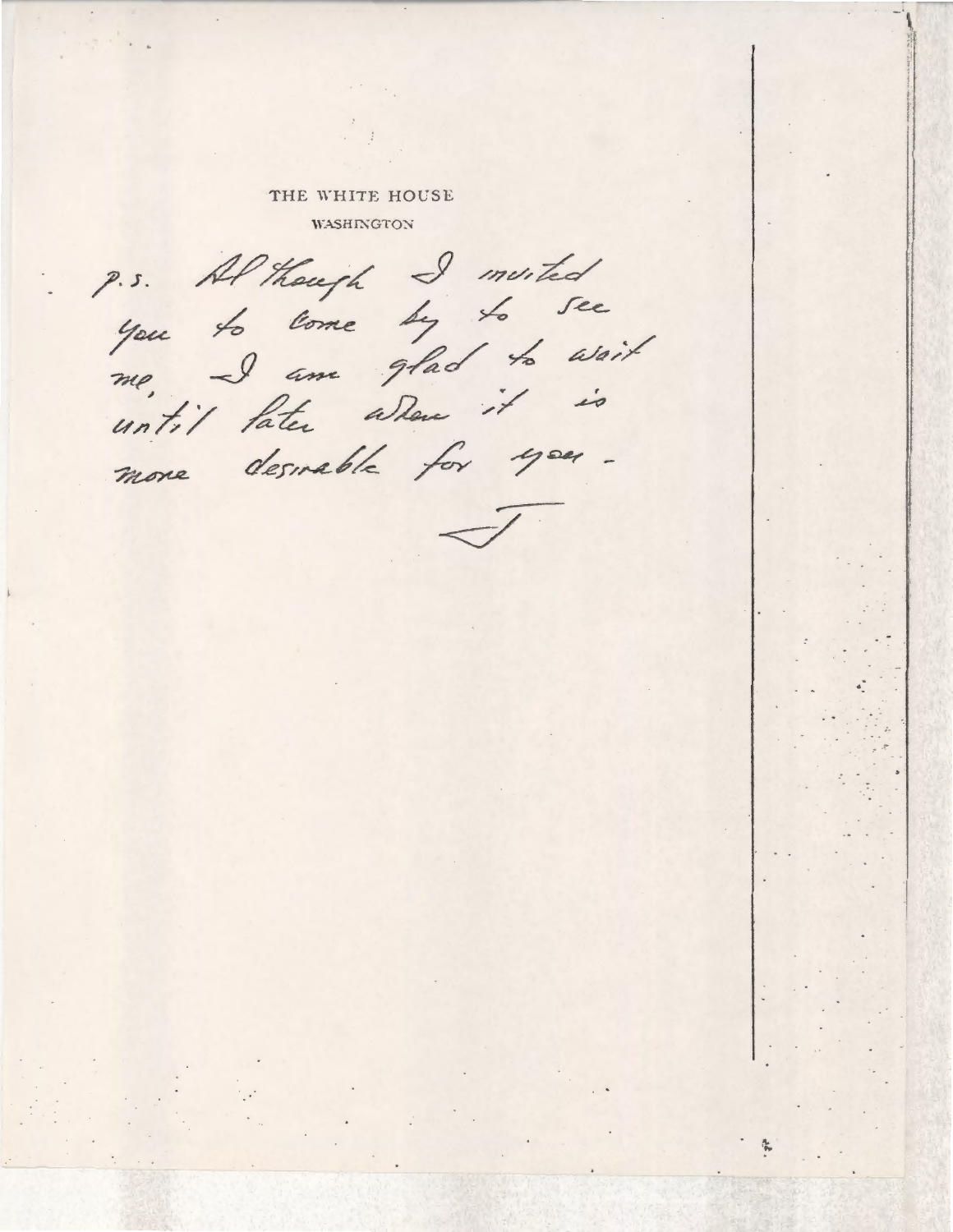# THE WHITE HOUSE

**WASHINGTON** 

P.s. Al though I muited you to lome by to see me, I am glad to wait until later allene it is more desirable for you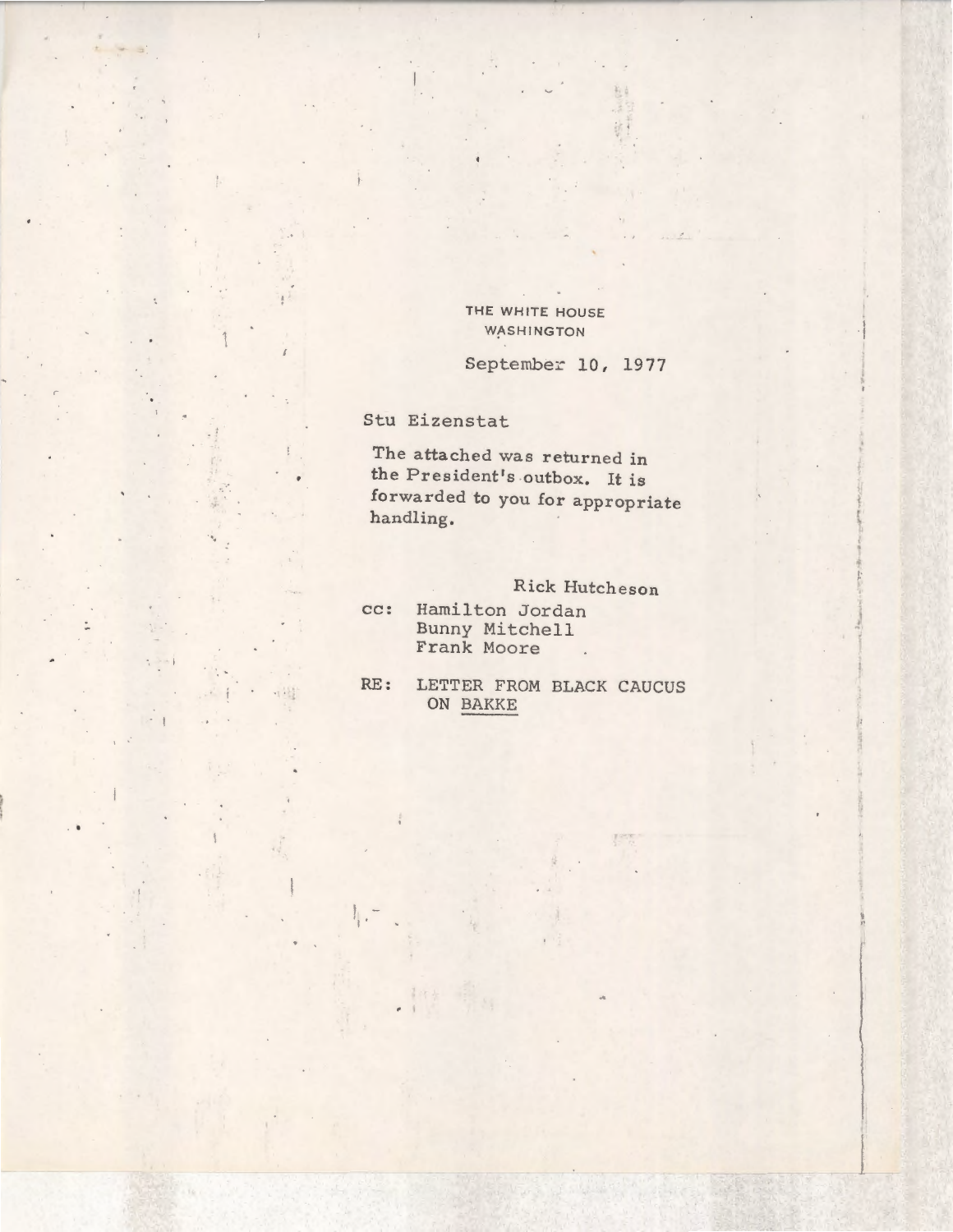### THE WHITE HOUSE WASHINGTON

# September 10, 1977

Stu Eizenstat

科技

 $\frac{1}{2}$  .

 $\mathbb{R}_{+}$ 

 $\bullet$ 

•14일

 $\cdot$   $\cdot$   $\cdot$  .

 $\overline{\phantom{a}}$ 

 $\geq$  1

 $\ddot{\phantom{0}}$ 

 $\sum_{i=1}^{n}$ 

The attached was returned in the President's outbox. It is forwarded to you for appropriate handling.

# Rick Hutcheson

cc: Hamilton Jordan Bunny Mitchell Frank Moore  $\sim$ 

RE: LETTER FROM BLACK CAUCUS ON BAKKE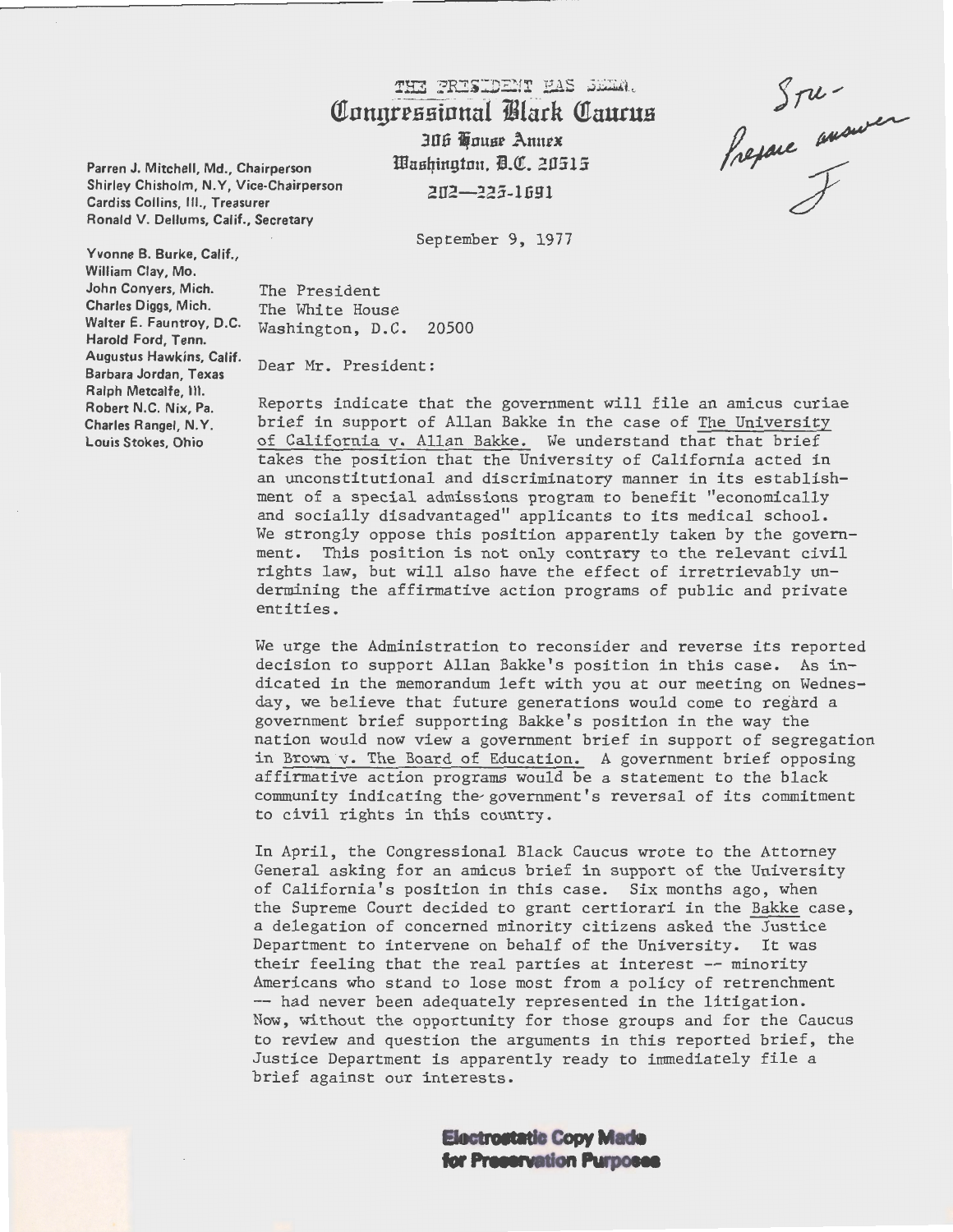# THE PRESIDEMY HAS SEEM. **Connressional Black Caucus 3U.6** ~ousr **.Annex**

**ltfnsqington. i.C!!. 2U515**  2U2-~25 **-lli9 1** 

**Parren J. Mitchell, Md., Chairperson Shirley Chisholm, N. Y, Vice·Chairperson Cardiss Collins,** Ill., **Treasurer Ronald V. Dellums, Calif., Secretary** 

**Yvonne B. Burke, Calif., William Clay, Mo. John Conyers, Mich. Charles Diggs, Mich. Walter E. Fauntroy, D.C. Harold Ford, Tenn. Augustus Hawkins, Calif. Barbara Jordan, Texas Ralph Metcalfe, Ill. Robert N.C. Nix, Pa. Charles Rangel, N.Y. Louis Stokes, Ohio** 

September 9, 1977

The President The White House Washington, D.C. 20500

Dear Mr. President:

Reports indicate that the government will file an amicus curiae brief in support of Allan Bakke in the case of The University of California v. Allan Bakke. We understand that that brief takes the position that the University of California acted in an unconstitutional and discriminatory manner in its establishment of a special admissions program to benefit "economically and socially disadvantaged" applicants to its medical school. We strongly oppose this position apparently taken by the government. This position is not only contrary to the relevant civil rights law, but will also have the effect of irretrievably undermining the affirmative action programs of public and private entities.

We urge the Administration to reconsider and reverse its reported decision to support Allan Bakke's position in this case. As indicated in the memorandum left with you at our meeting on Wednesday, we believe that future generations would come to regard a government brief supporting Bakke's position in the way the nation would now view a government brief in support of segregation in Brown v. The Board of Education. A government brief opposing affirmative action programs would be a statement to the black community indicating the government's reversal of its commitment to civil rights in this country.

In April, the Congressional Black Caucus wrote to the Attorney General asking for an amicus brief in support of the University of California's position in this case. Six months ago, when the Supreme Court decided to grant certiorari in the Bakke case, a delegation of concerned minority citizens asked the Justice Department to intervene on behalf of the University. It was their feeling that the real parties at interest -- minority Americans who stand to lose most from a policy of retrenchment -- had never been adequately represented in the litigation. Now, without the opportunity for those groups and for the Caucus to review and question the arguments in this reported brief, the Justice Department is apparently ready to immediately file a brief against our interests.

> **Electrostatic Copy Made** for Preservation **Purposes**

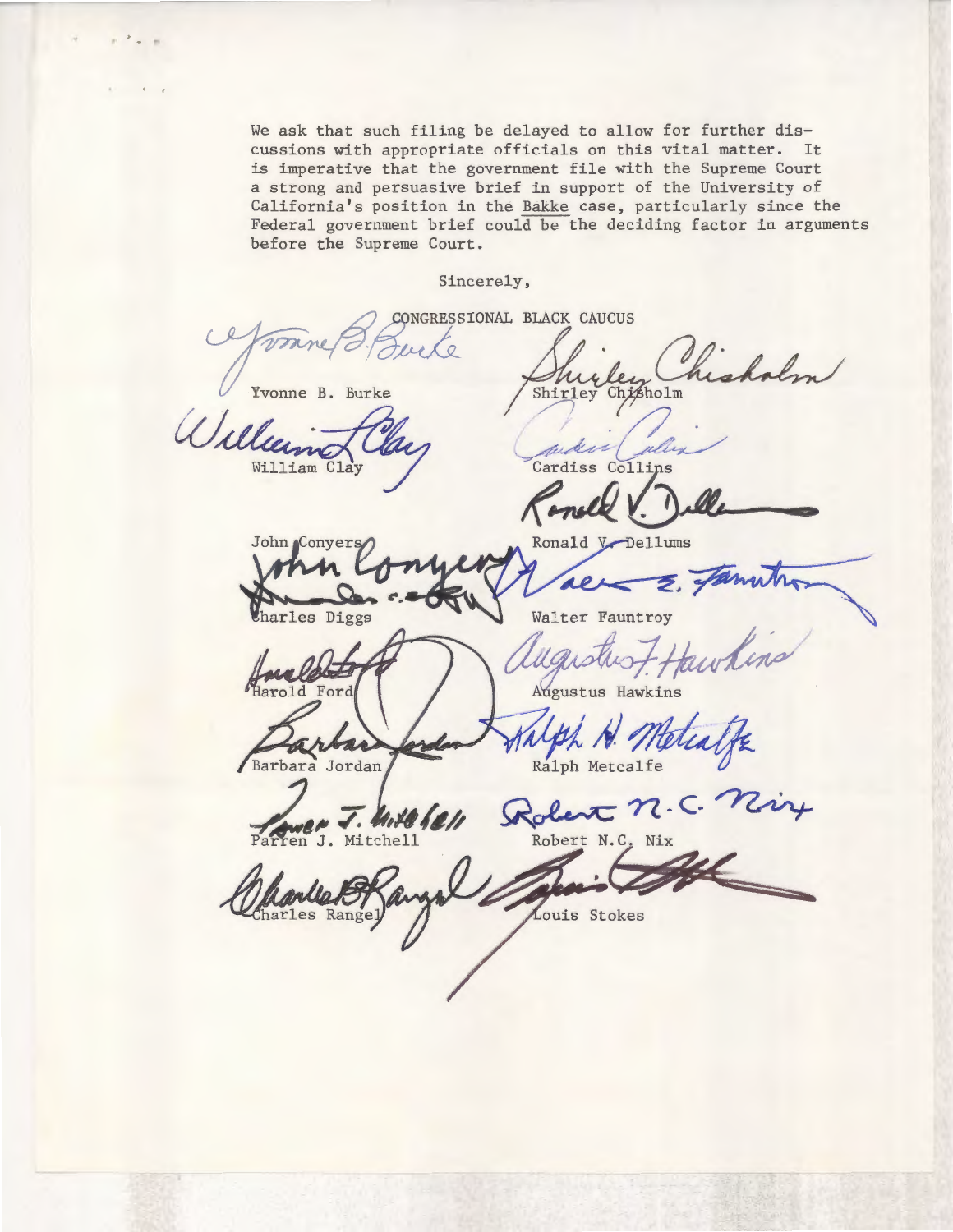We ask that such filing be delayed to allow for further discussions with appropriate officials on this vital matter. It is imperative that the government file with the Supreme Court a strong and persuasive brief in support of the University of California's position in the Bakke case, particularly since the Federal government brief could be the deciding factor in arguments before the Supreme Court.

#### Sincerely,

CONGRESSIONAL BLACK CAUCUS Yvonne B. Burke Shirley Chisholm William Clay Cardiss Collins

Ronald<sub>V</sub> John Conyers al. harles Diggs Walter Fauntroy

Harold Ford

Barbara Jordan

harles Rangel

J. Mitchell ren

Robert n.

Ralph Metcalfe

Augustus Hawkins

Dellums

Robert N.C. Nix

Louis Stokes